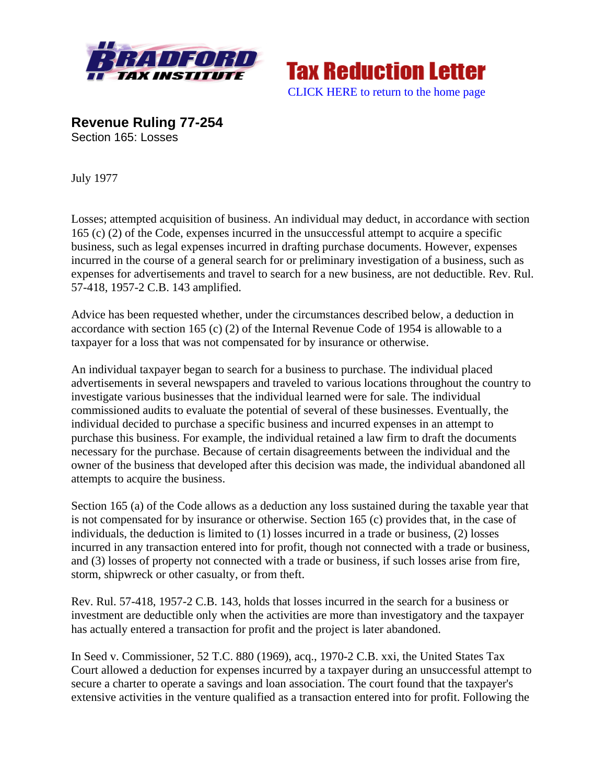



**Revenue Ruling 77-254**  Section 165: Losses

July 1977

Losses; attempted acquisition of business. An individual may deduct, in accordance with section 165 (c) (2) of the Code, expenses incurred in the unsuccessful attempt to acquire a specific business, such as legal expenses incurred in drafting purchase documents. However, expenses incurred in the course of a general search for or preliminary investigation of a business, such as expenses for advertisements and travel to search for a new business, are not deductible. Rev. Rul. 57-418, 1957-2 C.B. 143 amplified.

Advice has been requested whether, under the circumstances described below, a deduction in accordance with section 165 (c) (2) of the Internal Revenue Code of 1954 is allowable to a taxpayer for a loss that was not compensated for by insurance or otherwise.

An individual taxpayer began to search for a business to purchase. The individual placed advertisements in several newspapers and traveled to various locations throughout the country to investigate various businesses that the individual learned were for sale. The individual commissioned audits to evaluate the potential of several of these businesses. Eventually, the individual decided to purchase a specific business and incurred expenses in an attempt to purchase this business. For example, the individual retained a law firm to draft the documents necessary for the purchase. Because of certain disagreements between the individual and the owner of the business that developed after this decision was made, the individual abandoned all attempts to acquire the business.

Section 165 (a) of the Code allows as a deduction any loss sustained during the taxable year that is not compensated for by insurance or otherwise. Section 165 (c) provides that, in the case of individuals, the deduction is limited to (1) losses incurred in a trade or business, (2) losses incurred in any transaction entered into for profit, though not connected with a trade or business, and (3) losses of property not connected with a trade or business, if such losses arise from fire, storm, shipwreck or other casualty, or from theft.

Rev. Rul. 57-418, 1957-2 C.B. 143, holds that losses incurred in the search for a business or investment are deductible only when the activities are more than investigatory and the taxpayer has actually entered a transaction for profit and the project is later abandoned.

In Seed v. Commissioner, 52 T.C. 880 (1969), acq., 1970-2 C.B. xxi, the United States Tax Court allowed a deduction for expenses incurred by a taxpayer during an unsuccessful attempt to secure a charter to operate a savings and loan association. The court found that the taxpayer's extensive activities in the venture qualified as a transaction entered into for profit. Following the